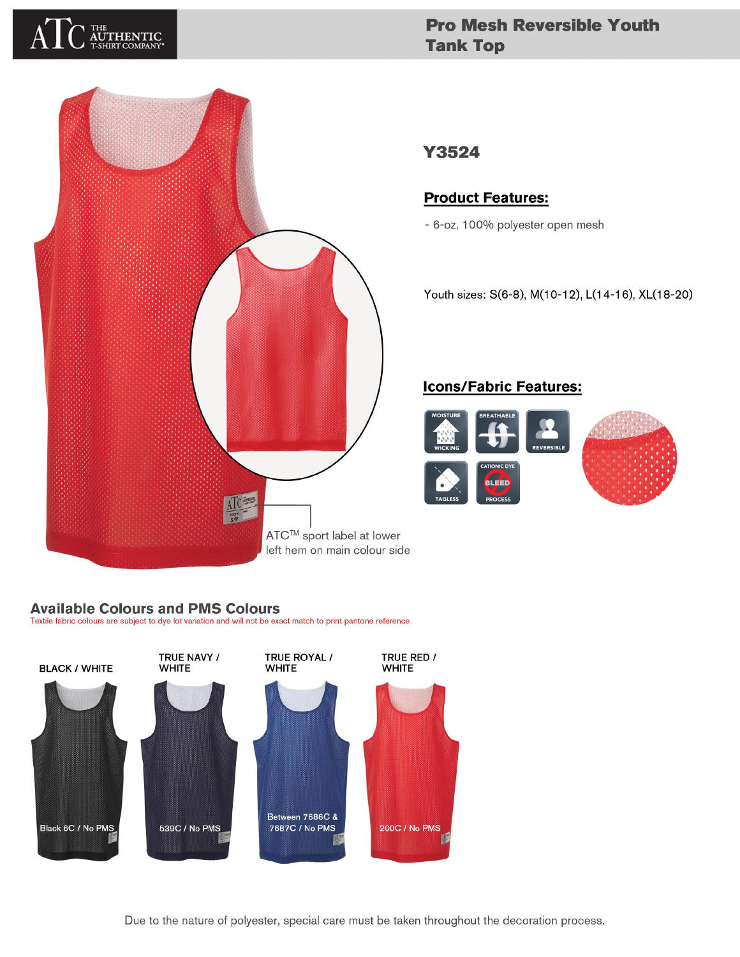# LHE<br>**AUTHENTIC**<br>F-SHIRT COMPANY

## **Pro Mesh Reversible Youth Tank Top**



### Y3524

#### **Product Features:**

- 6-oz, 100% polyester open mesh

Youth sizes: S(6-8), M(10-12), L(14-16), XL(18-20)

#### **Icons/Fabric Features:**



#### **Available Colours and PMS Colours**

Textile fabric colours are subject to dye lot variation and will not be exact match to print pantone reference